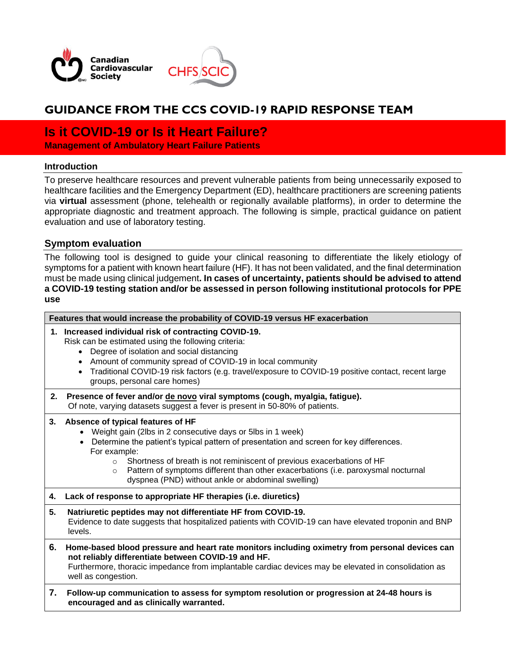



# **GUIDANCE FROM THE CCS COVID-19 RAPID RESPONSE TEAM**

## **Is it COVID-19 or Is it Heart Failure?**

**Management of Ambulatory Heart Failure Patients**

## **Introduction**

To preserve healthcare resources and prevent vulnerable patients from being unnecessarily exposed to healthcare facilities and the Emergency Department (ED), healthcare practitioners are screening patients via **virtual** assessment (phone, telehealth or regionally available platforms), in order to determine the appropriate diagnostic and treatment approach. The following is simple, practical guidance on patient evaluation and use of laboratory testing.

## **Symptom evaluation**

The following tool is designed to guide your clinical reasoning to differentiate the likely etiology of symptoms for a patient with known heart failure (HF). It has not been validated, and the final determination must be made using clinical judgement**. In cases of uncertainty, patients should be advised to attend a COVID-19 testing station and/or be assessed in person following institutional protocols for PPE use**

| Features that would increase the probability of COVID-19 versus HF exacerbation |                                                                                                                                                                                                                                                                                                                                                                                                                                                                     |  |
|---------------------------------------------------------------------------------|---------------------------------------------------------------------------------------------------------------------------------------------------------------------------------------------------------------------------------------------------------------------------------------------------------------------------------------------------------------------------------------------------------------------------------------------------------------------|--|
|                                                                                 | 1. Increased individual risk of contracting COVID-19.<br>Risk can be estimated using the following criteria:<br>Degree of isolation and social distancing<br>$\bullet$<br>Amount of community spread of COVID-19 in local community<br>$\bullet$<br>Traditional COVID-19 risk factors (e.g. travel/exposure to COVID-19 positive contact, recent large<br>$\bullet$<br>groups, personal care homes)                                                                 |  |
| 2.                                                                              | Presence of fever and/or de novo viral symptoms (cough, myalgia, fatigue).<br>Of note, varying datasets suggest a fever is present in 50-80% of patients.                                                                                                                                                                                                                                                                                                           |  |
| 3.                                                                              | Absence of typical features of HF<br>Weight gain (2lbs in 2 consecutive days or 5lbs in 1 week)<br>Determine the patient's typical pattern of presentation and screen for key differences.<br>$\bullet$<br>For example:<br>Shortness of breath is not reminiscent of previous exacerbations of HF<br>$\Omega$<br>Pattern of symptoms different than other exacerbations (i.e. paroxysmal nocturnal<br>$\circ$<br>dyspnea (PND) without ankle or abdominal swelling) |  |
| 4.                                                                              | Lack of response to appropriate HF therapies (i.e. diuretics)                                                                                                                                                                                                                                                                                                                                                                                                       |  |
| 5.                                                                              | Natriuretic peptides may not differentiate HF from COVID-19.<br>Evidence to date suggests that hospitalized patients with COVID-19 can have elevated troponin and BNP<br>levels.                                                                                                                                                                                                                                                                                    |  |
| 6.                                                                              | Home-based blood pressure and heart rate monitors including oximetry from personal devices can<br>not reliably differentiate between COVID-19 and HF.<br>Furthermore, thoracic impedance from implantable cardiac devices may be elevated in consolidation as<br>well as congestion.                                                                                                                                                                                |  |
| 7.                                                                              | Follow-up communication to assess for symptom resolution or progression at 24-48 hours is<br>encouraged and as clinically warranted.                                                                                                                                                                                                                                                                                                                                |  |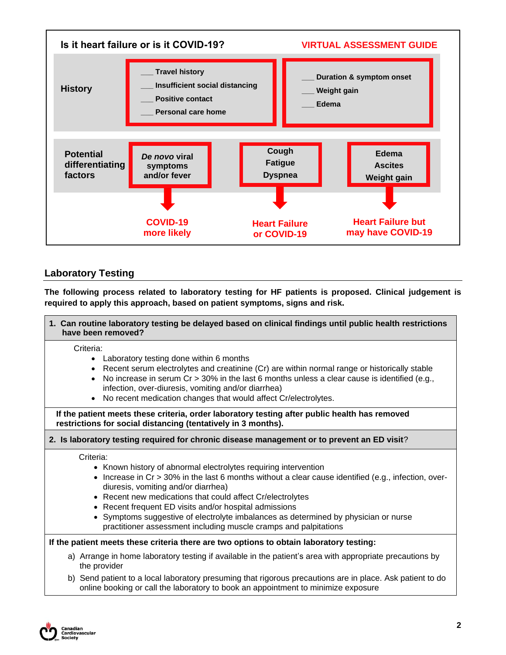

## **Laboratory Testing**

**The following process related to laboratory testing for HF patients is proposed. Clinical judgement is required to apply this approach, based on patient symptoms, signs and risk.**

|                                                                                                                                                                | 1. Can routine laboratory testing be delayed based on clinical findings until public health restrictions<br>have been removed?                                                                                                                                                                                                                                                                                                                                                                                  |  |
|----------------------------------------------------------------------------------------------------------------------------------------------------------------|-----------------------------------------------------------------------------------------------------------------------------------------------------------------------------------------------------------------------------------------------------------------------------------------------------------------------------------------------------------------------------------------------------------------------------------------------------------------------------------------------------------------|--|
|                                                                                                                                                                | Criteria:<br>• Laboratory testing done within 6 months<br>• Recent serum electrolytes and creatinine (Cr) are within normal range or historically stable<br>No increase in serum $Cr > 30\%$ in the last 6 months unless a clear cause is identified (e.g.,<br>infection, over-diuresis, vomiting and/or diarrhea)<br>• No recent medication changes that would affect Cr/electrolytes.                                                                                                                         |  |
| If the patient meets these criteria, order laboratory testing after public health has removed<br>restrictions for social distancing (tentatively in 3 months). |                                                                                                                                                                                                                                                                                                                                                                                                                                                                                                                 |  |
| 2. Is laboratory testing required for chronic disease management or to prevent an ED visit?                                                                    |                                                                                                                                                                                                                                                                                                                                                                                                                                                                                                                 |  |
|                                                                                                                                                                | Criteria:<br>• Known history of abnormal electrolytes requiring intervention<br>Increase in $Cr > 30\%$ in the last 6 months without a clear cause identified (e.g., infection, over-<br>diuresis, vomiting and/or diarrhea)<br>• Recent new medications that could affect Cr/electrolytes<br>• Recent frequent ED visits and/or hospital admissions<br>• Symptoms suggestive of electrolyte imbalances as determined by physician or nurse<br>practitioner assessment including muscle cramps and palpitations |  |
|                                                                                                                                                                | If the patient meets these criteria there are two options to obtain laboratory testing:                                                                                                                                                                                                                                                                                                                                                                                                                         |  |
|                                                                                                                                                                | a) Arrange in home laboratory testing if available in the patient's area with appropriate precautions by<br>the provider                                                                                                                                                                                                                                                                                                                                                                                        |  |
|                                                                                                                                                                | b) Send patient to a local laboratory presuming that rigorous precautions are in place. Ask patient to do                                                                                                                                                                                                                                                                                                                                                                                                       |  |

online booking or call the laboratory to book an appointment to minimize exposure